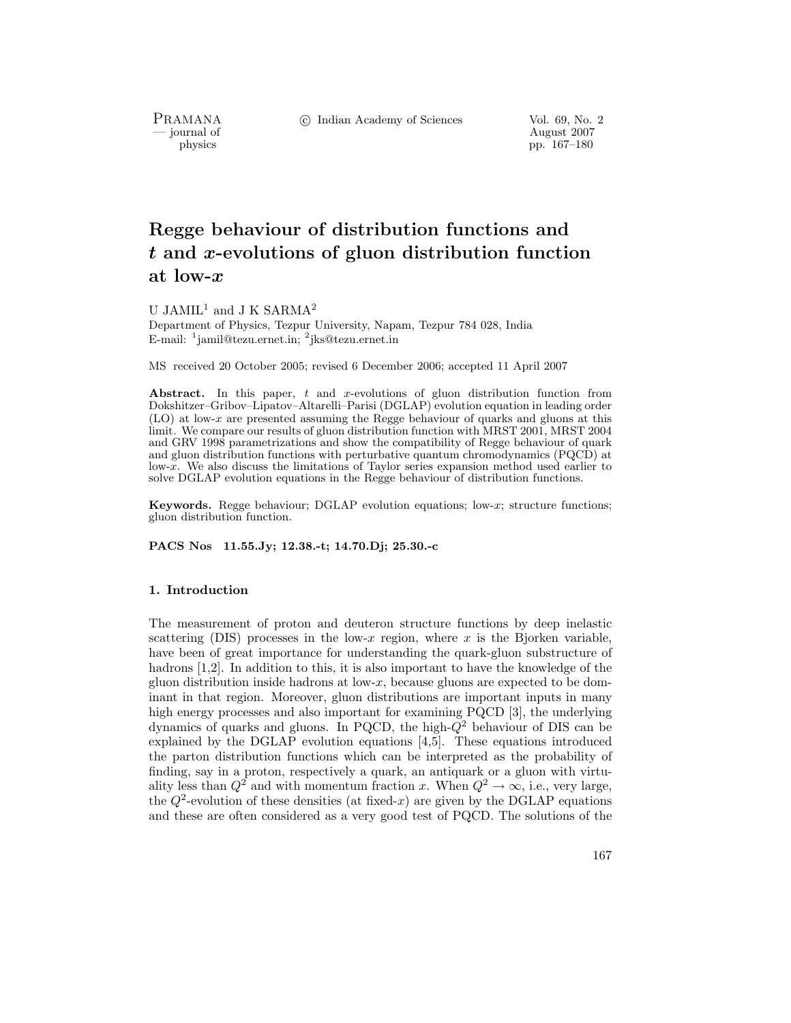PRAMANA<br>— journal of

c Indian Academy of Sciences Vol. 69, No. 2

August 2007 physics pp. 167–180

# **Regge behaviour of distribution functions and** *t* **and** *x***-evolutions of gluon distribution function at low-***x*

U JAMIL<sup>1</sup> and J K SARMA<sup>2</sup>

Department of Physics, Tezpur University, Napam, Tezpur 784 028, India E-mail: <sup>1</sup>jamil@tezu.ernet.in; <sup>2</sup>jks@tezu.ernet.in

MS received 20 October 2005; revised 6 December 2006; accepted 11 April 2007

Abstract. In this paper, t and x-evolutions of gluon distribution function from Dokshitzer–Gribov–Lipatov–Altarelli–Parisi (DGLAP) evolution equation in leading order (LO) at low-x are presented assuming the Regge behaviour of quarks and gluons at this limit. We compare our results of gluon distribution function with MRST 2001, MRST 2004 and GRV 1998 parametrizations and show the compatibility of Regge behaviour of quark and gluon distribution functions with perturbative quantum chromodynamics (PQCD) at low-x. We also discuss the limitations of Taylor series expansion method used earlier to solve DGLAP evolution equations in the Regge behaviour of distribution functions.

**Keywords.** Regge behaviour; DGLAP evolution equations; low-x; structure functions; gluon distribution function.

**PACS Nos 11.55.Jy; 12.38.-t; 14.70.Dj; 25.30.-c**

## **1. Introduction**

The measurement of proton and deuteron structure functions by deep inelastic scattering (DIS) processes in the low-x region, where x is the Bjorken variable, have been of great importance for understanding the quark-gluon substructure of hadrons [1,2]. In addition to this, it is also important to have the knowledge of the gluon distribution inside hadrons at  $low-x$ , because gluons are expected to be dominant in that region. Moreover, gluon distributions are important inputs in many high energy processes and also important for examining PQCD [3], the underlying dynamics of quarks and gluons. In PQCD, the high- $Q<sup>2</sup>$  behaviour of DIS can be explained by the DGLAP evolution equations [4,5]. These equations introduced the parton distribution functions which can be interpreted as the probability of finding, say in a proton, respectively a quark, an antiquark or a gluon with virtuality less than  $Q^2$  and with momentum fraction x. When  $Q^2 \to \infty$ , i.e., very large, the  $Q^2$ -evolution of these densities (at fixed-x) are given by the DGLAP equations and these are often considered as a very good test of PQCD. The solutions of the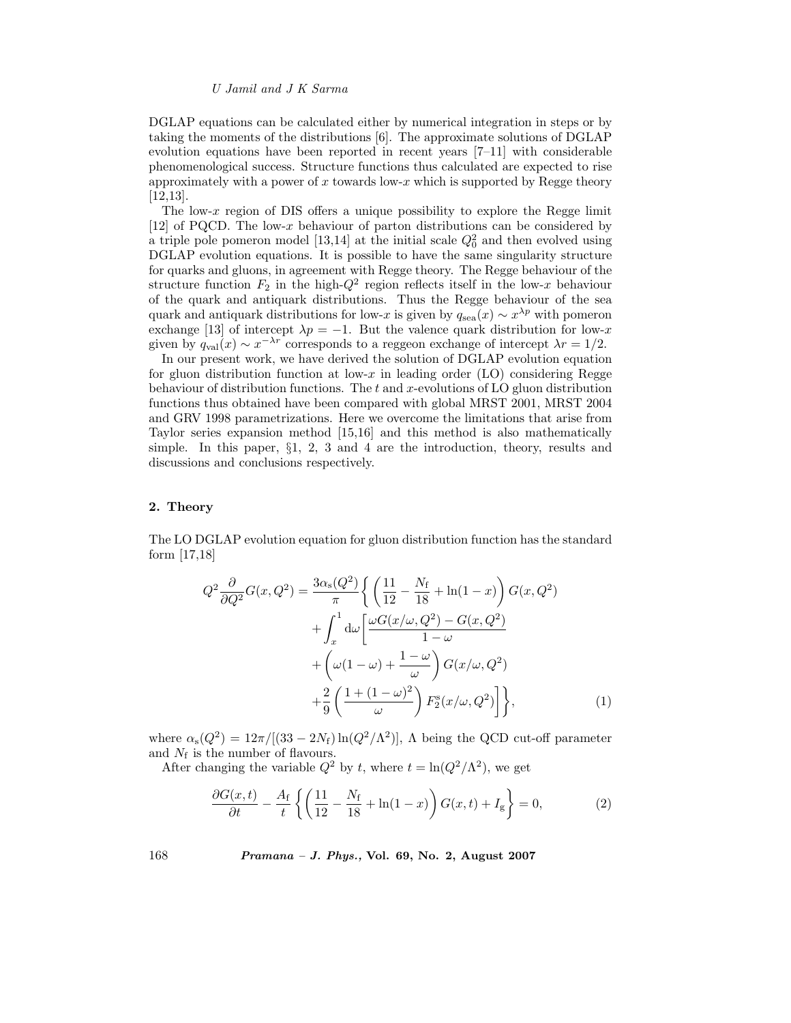DGLAP equations can be calculated either by numerical integration in steps or by taking the moments of the distributions [6]. The approximate solutions of DGLAP evolution equations have been reported in recent years [7–11] with considerable phenomenological success. Structure functions thus calculated are expected to rise approximately with a power of  $x$  towards low- $x$  which is supported by Regge theory [12,13].

The low-x region of DIS offers a unique possibility to explore the Regge limit  $[12]$  of PQCD. The low-x behaviour of parton distributions can be considered by a triple pole pomeron model [13,14] at the initial scale  $Q_0^2$  and then evolved using  $DGLAP$  evolution equations. It is possible to have the same singularity structure DGLAP evolution equations. It is possible to have the same singularity structure for quarks and gluons, in agreement with Regge theory. The Regge behaviour of the structure function  $F_2$  in the high- $Q^2$  region reflects itself in the low-x behaviour of the quark and antiquark distributions. Thus the Regge behaviour of the sea quark and antiquark distributions for low-x is given by  $q_{\rm sea}(x) \sim x^{\lambda p}$  with pomeron exchange [13] of intercept  $\lambda p = -1$ . But the valence quark distribution for low-x given by  $q_{\text{val}}(x) \sim x^{-\lambda r}$  corresponds to a reggeon exchange of intercept  $\lambda r = 1/2$ .

In our present work, we have derived the solution of DGLAP evolution equation for gluon distribution function at low-x in leading order (LO) considering Regge behaviour of distribution functions. The  $t$  and  $x$ -evolutions of LO gluon distribution functions thus obtained have been compared with global MRST 2001, MRST 2004 and GRV 1998 parametrizations. Here we overcome the limitations that arise from Taylor series expansion method [15,16] and this method is also mathematically simple. In this paper, §1, 2, 3 and 4 are the introduction, theory, results and discussions and conclusions respectively.

#### **2. Theory**

The LO DGLAP evolution equation for gluon distribution function has the standard form [17,18]

$$
Q^{2} \frac{\partial}{\partial Q^{2}} G(x, Q^{2}) = \frac{3\alpha_{\rm s}(Q^{2})}{\pi} \left\{ \left( \frac{11}{12} - \frac{N_{\rm f}}{18} + \ln(1 - x) \right) G(x, Q^{2}) + \int_{x}^{1} d\omega \left[ \frac{\omega G(x/\omega, Q^{2}) - G(x, Q^{2})}{1 - \omega} + \left( \omega(1 - \omega) + \frac{1 - \omega}{\omega} \right) G(x/\omega, Q^{2}) + \frac{2}{9} \left( \frac{1 + (1 - \omega)^{2}}{\omega} \right) F_{2}^{\rm s}(x/\omega, Q^{2}) \right] \right\},
$$
\n(1)

where  $\alpha_s(Q^2) = 12\pi/[(33-2N_f)\ln(Q^2/\Lambda^2)]$ ,  $\Lambda$  being the QCD cut-off parameter and  $N_f$  is the number of flavours.

After changing the variable  $Q^2$  by t, where  $t = \ln(Q^2/\Lambda^2)$ , we get

$$
\frac{\partial G(x,t)}{\partial t} - \frac{A_{\rm f}}{t} \left\{ \left( \frac{11}{12} - \frac{N_{\rm f}}{18} + \ln(1-x) \right) G(x,t) + I_{\rm g} \right\} = 0,\tag{2}
$$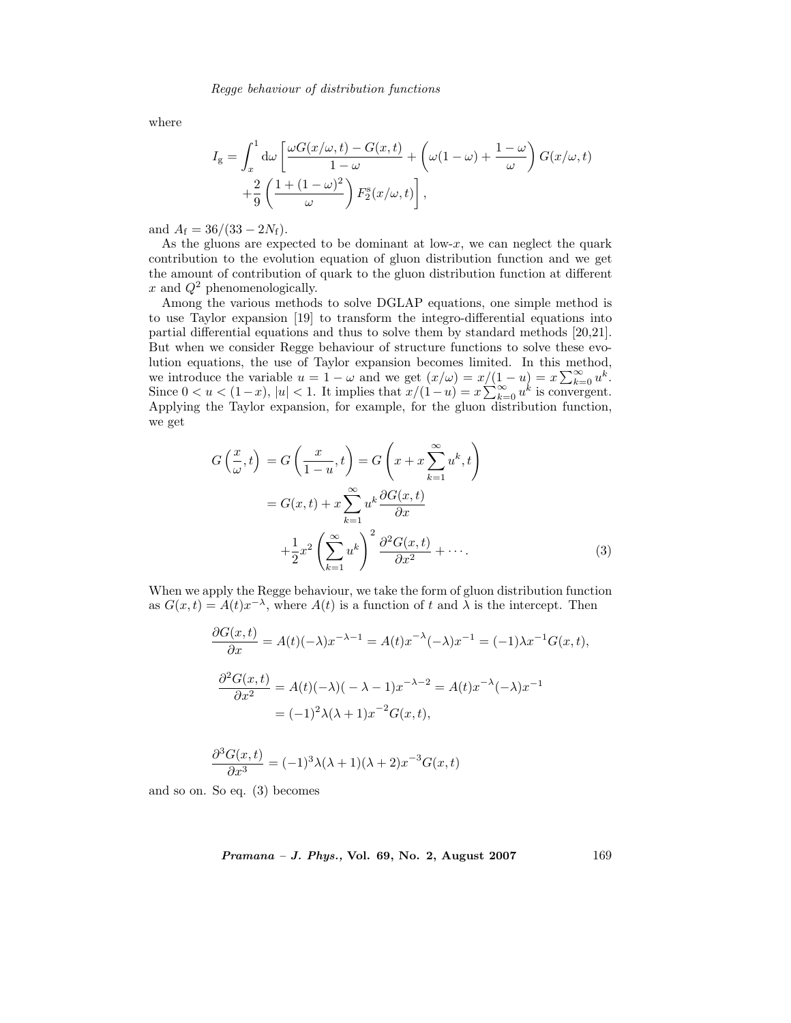where

$$
I_{g} = \int_{x}^{1} d\omega \left[ \frac{\omega G(x/\omega, t) - G(x, t)}{1 - \omega} + \left( \omega (1 - \omega) + \frac{1 - \omega}{\omega} \right) G(x/\omega, t) + \frac{2}{9} \left( \frac{1 + (1 - \omega)^{2}}{\omega} \right) F_{2}^{s}(x/\omega, t) \right],
$$

and  $A_f = 36/(33 - 2N_f)$ .

As the gluons are expected to be dominant at  $low-x$ , we can neglect the quark contribution to the evolution equation of gluon distribution function and we get the amount of contribution of quark to the gluon distribution function at different x and  $Q^2$  phenomenologically.

Among the various methods to solve DGLAP equations, one simple method is to use Taylor expansion [19] to transform the integro-differential equations into partial differential equations and thus to solve them by standard methods [20,21]. But when we consider Regge behaviour of structure functions to solve these evolution equations, the use of Taylor expansion becomes limited. In this method, we introduce the variable  $u = 1 - \omega$  and we get  $(x/\omega) = x/(1-u) = x \sum_{k=0}^{\infty} u^k$ .<br>Since  $0 < u < (1-x)$ ,  $|u| < 1$ . It implies that  $x/(1-u) = x \sum_{k=0}^{\infty} u^k$  is convergent.<br>Applying the Taylor expansion, for example, for the gluon d Applying the Taylor expansion, for example, for the gluon distribution function, we get

$$
G\left(\frac{x}{\omega},t\right) = G\left(\frac{x}{1-u},t\right) = G\left(x+x\sum_{k=1}^{\infty}u^k,t\right)
$$

$$
= G(x,t) + x\sum_{k=1}^{\infty}u^k\frac{\partial G(x,t)}{\partial x}
$$

$$
+ \frac{1}{2}x^2\left(\sum_{k=1}^{\infty}u^k\right)^2\frac{\partial^2 G(x,t)}{\partial x^2} + \cdots
$$
(3)

When we apply the Regge behaviour, we take the form of gluon distribution function as  $G(x,t) = A(t)x^{-\lambda}$ , where  $A(t)$  is a function of t and  $\lambda$  is the intercept. Then

$$
\frac{\partial G(x,t)}{\partial x} = A(t)(-\lambda)x^{-\lambda - 1} = A(t)x^{-\lambda}(-\lambda)x^{-1} = (-1)\lambda x^{-1}G(x,t),
$$
  

$$
\frac{\partial^2 G(x,t)}{\partial x^2} = A(t)(-\lambda)(-\lambda - 1)x^{-\lambda - 2} = A(t)x^{-\lambda}(-\lambda)x^{-1}
$$
  

$$
= (-1)^2 \lambda(\lambda + 1)x^{-2}G(x,t),
$$

$$
\frac{\partial^3 G(x,t)}{\partial x^3} = (-1)^3 \lambda (\lambda + 1) (\lambda + 2) x^{-3} G(x,t)
$$

and so on. So eq. (3) becomes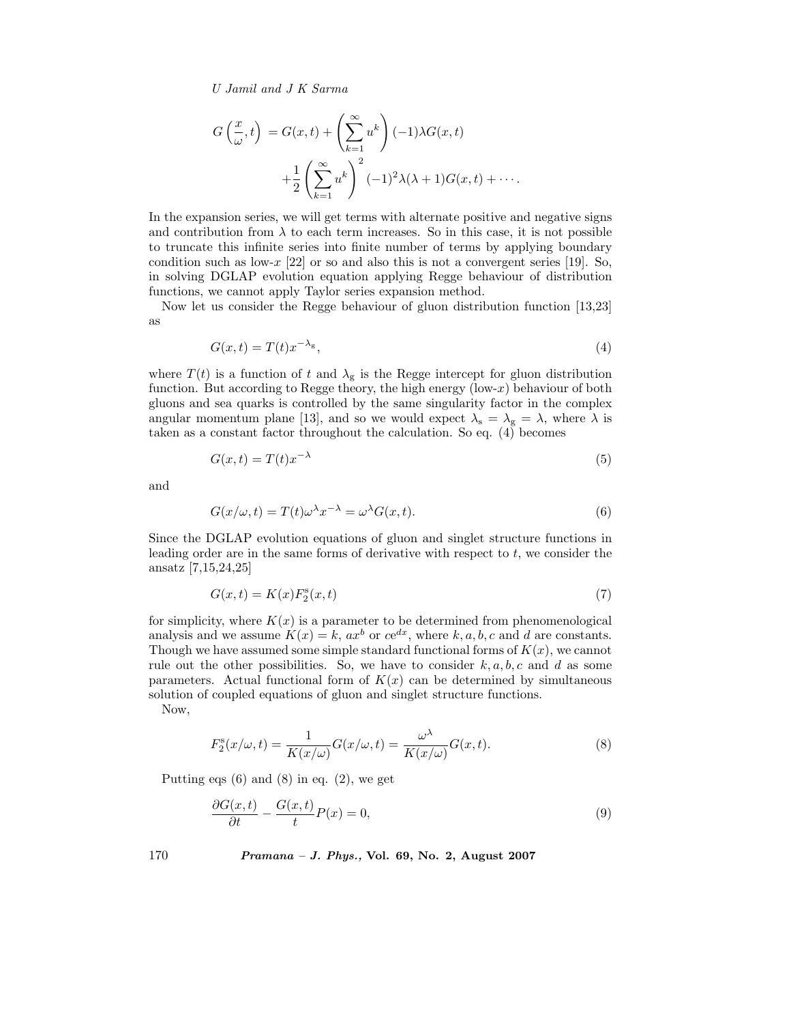$$
G\left(\frac{x}{\omega},t\right) = G(x,t) + \left(\sum_{k=1}^{\infty} u^k\right)(-1)\lambda G(x,t)
$$

$$
+ \frac{1}{2}\left(\sum_{k=1}^{\infty} u^k\right)^2 (-1)^2 \lambda(\lambda+1)G(x,t) + \cdots.
$$

In the expansion series, we will get terms with alternate positive and negative signs and contribution from  $\lambda$  to each term increases. So in this case, it is not possible to truncate this infinite series into finite number of terms by applying boundary condition such as low-x  $[22]$  or so and also this is not a convergent series [19]. So, in solving DGLAP evolution equation applying Regge behaviour of distribution functions, we cannot apply Taylor series expansion method.

Now let us consider the Regge behaviour of gluon distribution function [13,23] as

$$
G(x,t) = T(t)x^{-\lambda_g},\tag{4}
$$

where  $T(t)$  is a function of t and  $\lambda_{\rm g}$  is the Regge intercept for gluon distribution function. But according to Regge theory, the high energy  $(low-x)$  behaviour of both gluons and sea quarks is controlled by the same singularity factor in the complex angular momentum plane [13], and so we would expect  $\lambda_s = \lambda_g = \lambda$ , where  $\lambda$  is taken as a constant factor throughout the calculation. So eq.  $(4)$  becomes

$$
G(x,t) = T(t)x^{-\lambda}
$$
\n(5)

and

$$
G(x/\omega, t) = T(t)\omega^{\lambda} x^{-\lambda} = \omega^{\lambda} G(x, t).
$$
\n(6)

Since the DGLAP evolution equations of gluon and singlet structure functions in leading order are in the same forms of derivative with respect to  $t$ , we consider the ansatz [7,15,24,25]

$$
G(x,t) = K(x)F_2^s(x,t)
$$
\n<sup>(7)</sup>

for simplicity, where  $K(x)$  is a parameter to be determined from phenomenological analysis and we assume  $K(x) = k$ ,  $ax^b$  or  $ce^{dx}$ , where k, a, b, c and d are constants. Though we have assumed some simple standard functional forms of  $K(x)$ , we cannot rule out the other possibilities. So, we have to consider  $k, a, b, c$  and d as some parameters. Actual functional form of  $K(x)$  can be determined by simultaneous solution of coupled equations of gluon and singlet structure functions.

Now,

$$
F_2^s(x/\omega, t) = \frac{1}{K(x/\omega)} G(x/\omega, t) = \frac{\omega^{\lambda}}{K(x/\omega)} G(x, t).
$$
 (8)

Putting eqs  $(6)$  and  $(8)$  in eq.  $(2)$ , we get

$$
\frac{\partial G(x,t)}{\partial t} - \frac{G(x,t)}{t}P(x) = 0,\t\t(9)
$$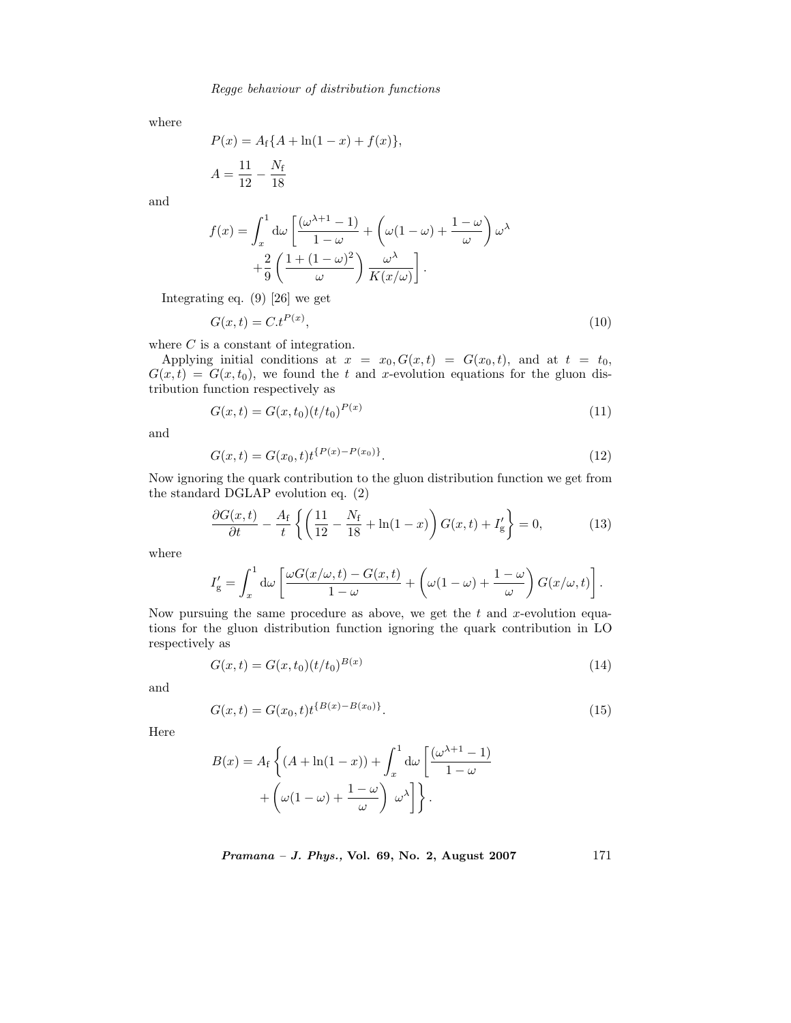where

$$
P(x) = A_f \{ A + \ln(1 - x) + f(x) \},
$$
  

$$
A = \frac{11}{12} - \frac{N_f}{18}
$$

and

$$
f(x) = \int_x^1 d\omega \left[ \frac{(\omega^{\lambda+1} - 1)}{1 - \omega} + \left( \omega(1 - \omega) + \frac{1 - \omega}{\omega} \right) \omega^{\lambda} + \frac{2}{9} \left( \frac{1 + (1 - \omega)^2}{\omega} \right) \frac{\omega^{\lambda}}{K(x/\omega)} \right].
$$

Integrating eq. (9) [26] we get

$$
G(x,t) = C \cdot t^{P(x)},\tag{10}
$$

where  $C$  is a constant of integration.

Applying initial conditions at  $x = x_0, G(x, t) = G(x_0, t)$ , and at  $t = t_0$ ,  $G(x,t) = G(x,t_0)$ , we found the t and x-evolution equations for the gluon distribution function respectively as

$$
G(x,t) = G(x,t_0)(t/t_0)^{P(x)}
$$
\n(11)

and

$$
G(x,t) = G(x_0,t)t^{\{P(x) - P(x_0)\}}.
$$
\n(12)

Now ignoring the quark contribution to the gluon distribution function we get from the standard DGLAP evolution eq. (2)

$$
\frac{\partial G(x,t)}{\partial t} - \frac{A_{\rm f}}{t} \left\{ \left( \frac{11}{12} - \frac{N_{\rm f}}{18} + \ln(1-x) \right) G(x,t) + I_{\rm g}' \right\} = 0, \tag{13}
$$

where

$$
I'_{\rm g} = \int_x^1 d\omega \left[ \frac{\omega G(x/\omega, t) - G(x, t)}{1 - \omega} + \left( \omega (1 - \omega) + \frac{1 - \omega}{\omega} \right) G(x/\omega, t) \right].
$$

Now pursuing the same procedure as above, we get the  $t$  and  $x$ -evolution equations for the gluon distribution function ignoring the quark contribution in LO respectively as

$$
G(x,t) = G(x,t_0)(t/t_0)^{B(x)}
$$
\n(14)

and

$$
G(x,t) = G(x_0,t)t^{\{B(x) - B(x_0)\}}.
$$
\n(15)

Here

$$
B(x) = A_f \left\{ (A + \ln(1 - x)) + \int_x^1 d\omega \left[ \frac{(\omega^{\lambda + 1} - 1)}{1 - \omega} + \left( \omega(1 - \omega) + \frac{1 - \omega}{\omega} \right) \omega^{\lambda} \right] \right\}.
$$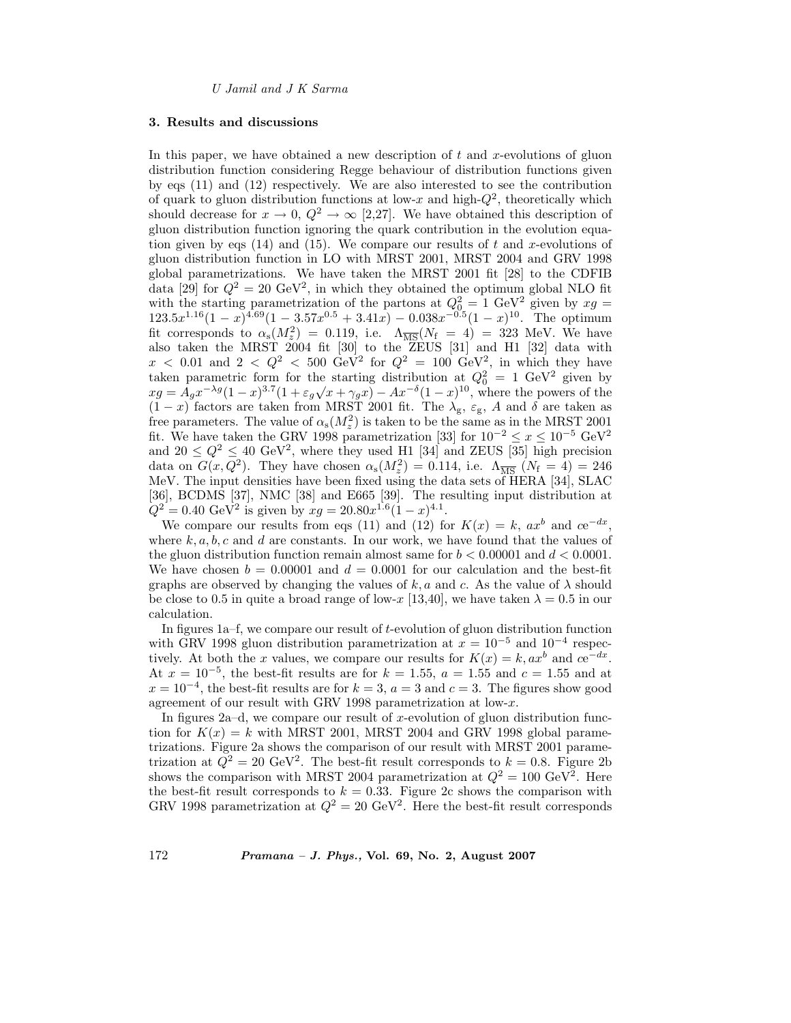#### **3. Results and discussions**

In this paper, we have obtained a new description of  $t$  and  $x$ -evolutions of gluon distribution function considering Regge behaviour of distribution functions given by eqs (11) and (12) respectively. We are also interested to see the contribution of quark to gluon distribution functions at low-x and high- $Q^2$ , theoretically which should decrease for  $x \to 0$ ,  $Q^2 \to \infty$  [2,27]. We have obtained this description of gluon distribution function ignoring the quark contribution in the evolution equation given by eqs  $(14)$  and  $(15)$ . We compare our results of t and x-evolutions of gluon distribution function in LO with MRST 2001, MRST 2004 and GRV 1998 global parametrizations. We have taken the MRST 2001 fit [28] to the CDFIB data [29] for  $Q^2 = 20 \text{ GeV}^2$ , in which they obtained the optimum global NLO fit with the starting parametrization of the partons at  $Q_0^2 = 1 \text{ GeV}^2$  given by  $xg = 123.5x^{1.16}(1-x)^{4.69}(1-3.57x^{0.5}+3.41x) - 0.038x^{-0.5}(1-x)^{10}$ . The optimum fit corresponds to  $\alpha_s(M_z^2) = 0.119$ , i.e.  $\Lambda_{\overline{\rm MS}}(N_{\rm f} = 4) = 323$  MeV. We have also taken the MRST 2004 fit [30] to the ZEUS [31] and H1 [32] data with  $x < 0.01$  and  $2 < Q^2 < 500 \text{ GeV}^2$  for  $Q^2 = 100 \text{ GeV}^2$ , in which they have taken parametric form for the starting distribution at  $Q_0^2 = 1$  GeV<sup>2</sup> given by  $xg = A_g x^{-\lambda g} (1-x)^{3.7} (1 + \varepsilon_g \sqrt{x} + \gamma_g x) - Ax^{-\delta} (1-x)^{10}$ , where the powers of the  $(1-x)$  factors are taken from MRST 2001 fit. The  $\lambda_g$ ,  $\varepsilon_g$ , A and  $\delta$  are taken as free parameters. The value of  $\alpha_s(M_z^2)$  is taken to be the same as in the MRST 2001<br>ft. We have taken the CPV 1008 parametrization [22] for  $10^{-2} \leq \alpha \leq 10^{-5}$  CeV<sub>2</sub> fit. We have taken the GRV 1998 parametrization [33] for  $10^{-2} \le x \le 10^{-5}$  GeV<sup>2</sup> and  $20 \le Q^2 \le 40$  GeV<sup>2</sup>, where they used H1 [34] and ZEUS [35] high precision data on  $G(x, Q^2)$ . They have chosen  $\alpha_s(M_z^2) = 0.114$ , i.e.  $\Lambda_{\overline{\text{MS}}}(N_f = 4) = 246$ <br>MeV. The input densities have been fixed using the data sets of HERA [34]. SLAC MeV. The input densities have been fixed using the data sets of HERA [34], SLAC [36], BCDMS [37], NMC [38] and E665 [39]. The resulting input distribution at  $Q^2 = 0.40 \text{ GeV}^2$  is given by  $xq = 20.80x^{1.6}(1-x)^{4.1}$ .

We compare our results from eqs (11) and (12) for  $K(x) = k$ ,  $ax^b$  and  $ce^{-dx}$ , where  $k, a, b, c$  and d are constants. In our work, we have found that the values of the gluon distribution function remain almost same for  $b < 0.00001$  and  $d < 0.0001$ . We have chosen  $b = 0.00001$  and  $d = 0.0001$  for our calculation and the best-fit graphs are observed by changing the values of k, a and c. As the value of  $\lambda$  should be close to 0.5 in quite a broad range of low-x [13,40], we have taken  $\lambda = 0.5$  in our calculation.

In figures  $1a-f$ , we compare our result of t-evolution of gluon distribution function with GRV 1998 gluon distribution parametrization at  $x = 10^{-5}$  and  $10^{-4}$  respectively. At both the x values, we compare our results for  $K(x) = k, ax^b$  and  $ce^{-dx}$ . At  $x = 10^{-5}$ , the best-fit results are for  $k = 1.55$ ,  $a = 1.55$  and  $c = 1.55$  and at  $x = 10^{-4}$ , the best-fit results are for  $k = 3$ ,  $a = 3$  and  $c = 3$ . The figures show good agreement of our result with GRV 1998 parametrization at low-x.

In figures  $2a-d$ , we compare our result of x-evolution of gluon distribution function for  $K(x) = k$  with MRST 2001, MRST 2004 and GRV 1998 global parametrizations. Figure 2a shows the comparison of our result with MRST 2001 parametrization at  $Q^2 = 20 \text{ GeV}^2$ . The best-fit result corresponds to  $k = 0.8$ . Figure 2b shows the comparison with MRST 2004 parametrization at  $Q^2 = 100 \text{ GeV}^2$ . Here the best-fit result corresponds to  $k = 0.33$ . Figure 2c shows the comparison with GRV 1998 parametrization at  $Q^2 = 20 \text{ GeV}^2$ . Here the best-fit result corresponds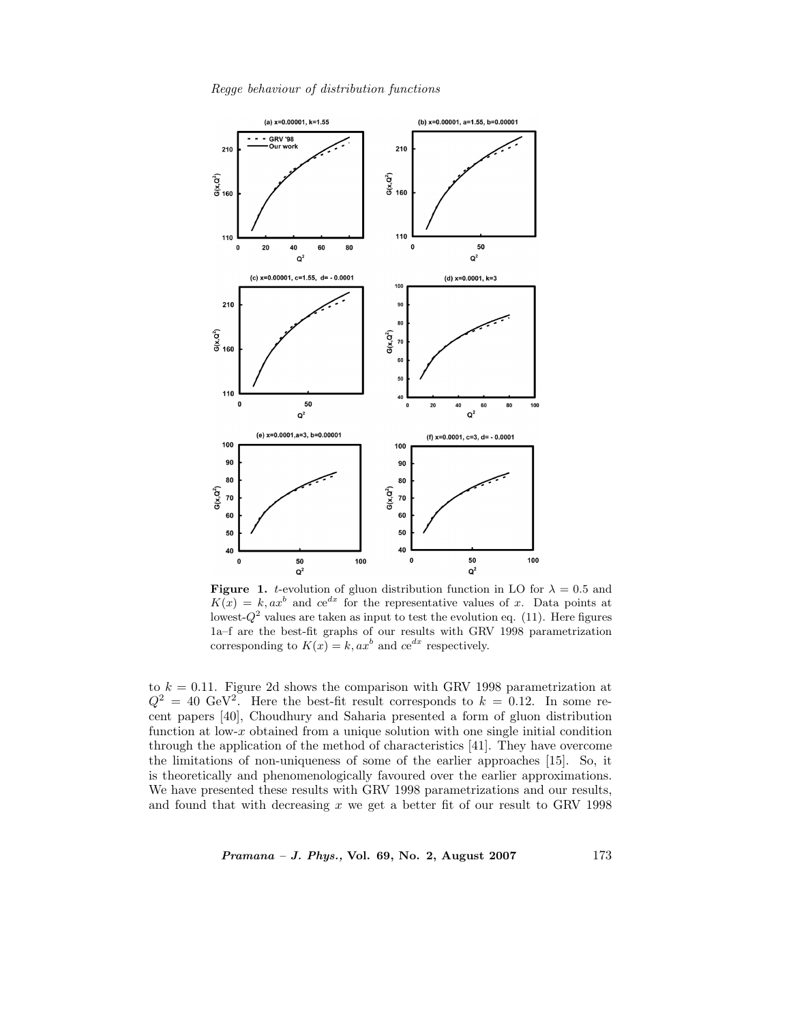*Regge behaviour of distribution functions*



**Figure 1.** t-evolution of gluon distribution function in LO for  $\lambda = 0.5$  and  $K(x) = k, ax^b$  and  $ce^{dx}$  for the representative values of x. Data points at lowest- $Q^2$  values are taken as input to test the evolution eq. (11). Here figures 1a–f are the best-fit graphs of our results with GRV 1998 parametrization corresponding to  $K(x) = k$ ,  $ax^b$  and  $ce^{dx}$  respectively.

to  $k = 0.11$ . Figure 2d shows the comparison with GRV 1998 parametrization at  $Q^2 = 40 \text{ GeV}^2$ . Here the best-fit result corresponds to  $k = 0.12$ . In some recent papers [40], Choudhury and Saharia presented a form of gluon distribution function at low- $x$  obtained from a unique solution with one single initial condition through the application of the method of characteristics [41]. They have overcome the limitations of non-uniqueness of some of the earlier approaches [15]. So, it is theoretically and phenomenologically favoured over the earlier approximations. We have presented these results with GRV 1998 parametrizations and our results, and found that with decreasing  $x$  we get a better fit of our result to GRV 1998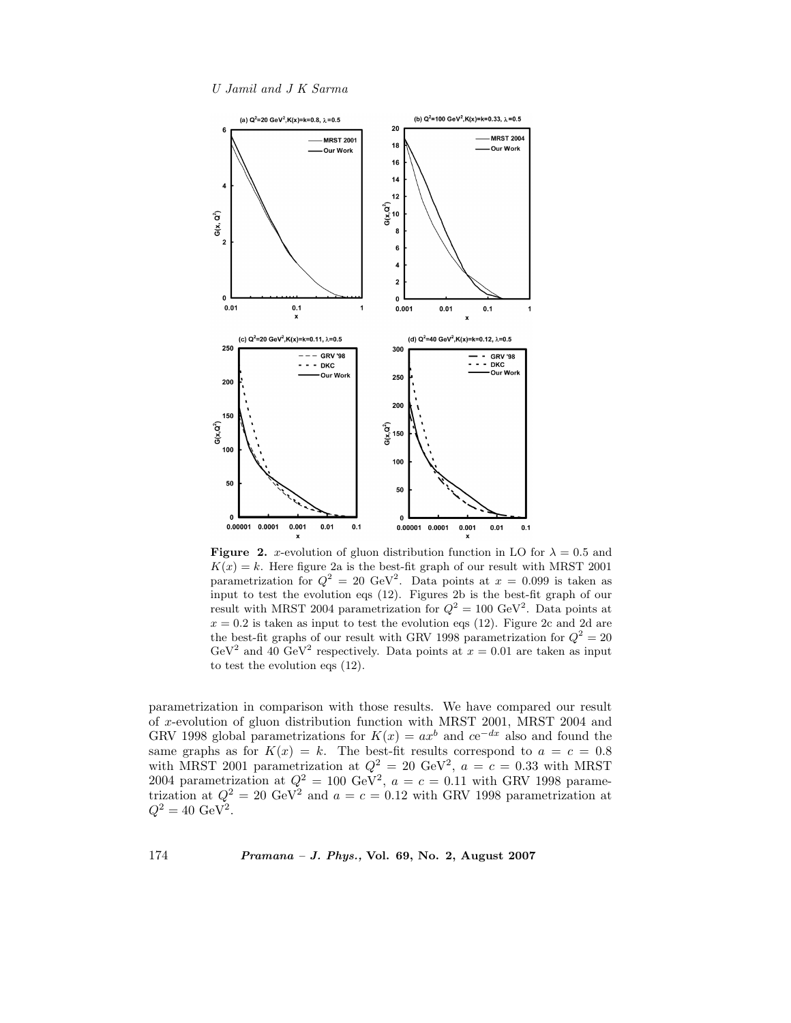*U Jamil and J K Sarma*



**Figure 2.** x-evolution of gluon distribution function in LO for  $\lambda = 0.5$  and  $K(x) = k$ . Here figure 2a is the best-fit graph of our result with MRST 2001 parametrization for  $Q^2 = 20 \text{ GeV}^2$ . Data points at  $x = 0.099$  is taken as input to test the evolution eqs (12). Figures 2b is the best-fit graph of our result with MRST 2004 parametrization for  $Q^2 = 100 \text{ GeV}^2$ . Data points at  $x = 0.2$  is taken as input to test the evolution eqs (12). Figure 2c and 2d are the best-fit graphs of our result with GRV 1998 parametrization for  $Q^2 = 20$ GeV<sup>2</sup> and 40 GeV<sup>2</sup> respectively. Data points at  $x = 0.01$  are taken as input to test the evolution eqs (12).

parametrization in comparison with those results. We have compared our result of x-evolution of gluon distribution function with MRST 2001, MRST 2004 and GRV 1998 global parametrizations for  $K(x) = ax^b$  and  $ce^{-dx}$  also and found the same graphs as for  $K(x) = k$ . The best-fit results correspond to  $a = c = 0.8$ with MRST 2001 parametrization at  $Q^2 = 20 \text{ GeV}^2$ ,  $a = c = 0.33$  with MRST 2004 parametrization at  $Q^2 = 100 \text{ GeV}^2$ ,  $a = c = 0.11$  with GRV 1998 parametrization at  $Q^2 = 20 \text{ GeV}^2$  and  $a = c = 0.12$  with GRV 1998 parametrization at  $Q^2 = 40 \text{ GeV}^2$ .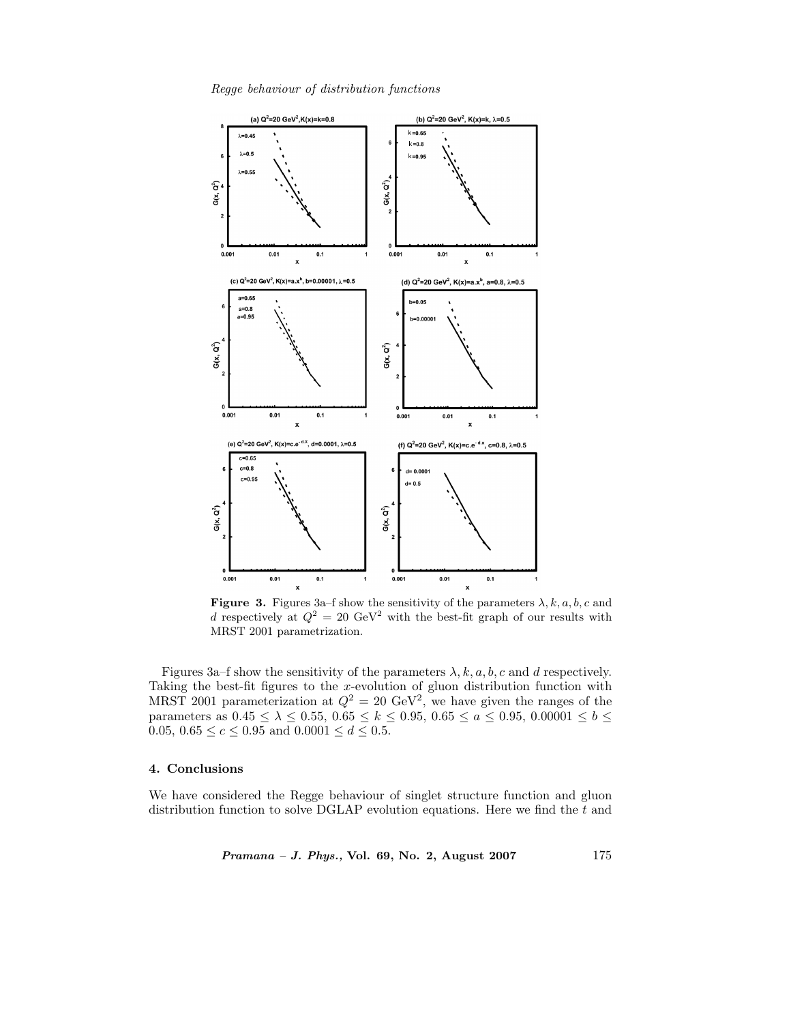*Regge behaviour of distribution functions*



**Figure 3.** Figures 3a–f show the sensitivity of the parameters  $\lambda$ , k, a, b, c and d respectively at  $Q^2 = 20 \text{ GeV}^2$  with the best-fit graph of our results with MRST 2001 parametrization.

Figures 3a–f show the sensitivity of the parameters  $\lambda$ ,  $k$ ,  $a$ ,  $b$ ,  $c$  and  $d$  respectively. Taking the best-fit figures to the x-evolution of gluon distribution function with MRST 2001 parameterization at  $Q^2 = 20 \text{ GeV}^2$ , we have given the ranges of the parameters as  $0.45 \le \lambda \le 0.55$ ,  $0.65 \le k \le 0.95$ ,  $0.65 \le a \le 0.95$ ,  $0.00001 \le b \le$ 0.05,  $0.65 \le c \le 0.95$  and  $0.0001 \le d \le 0.5$ .

# **4. Conclusions**

We have considered the Regge behaviour of singlet structure function and gluon distribution function to solve DGLAP evolution equations. Here we find the  $t$  and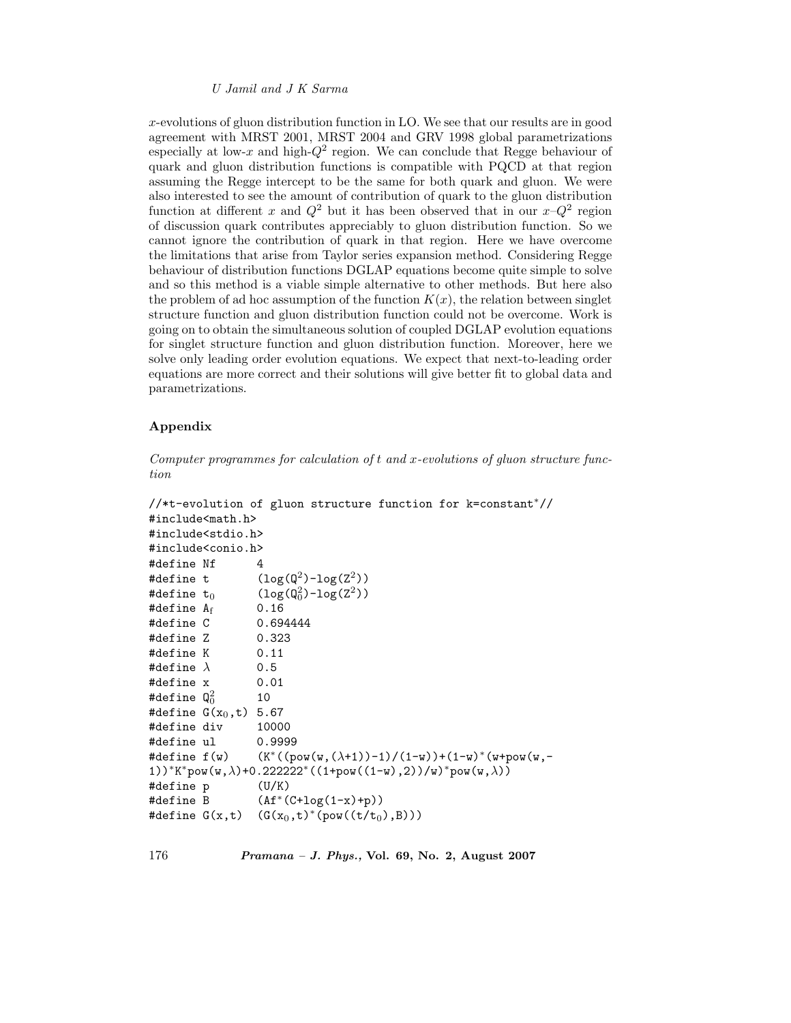x-evolutions of gluon distribution function in LO. We see that our results are in good agreement with MRST 2001, MRST 2004 and GRV 1998 global parametrizations especially at low-x and high- $Q^2$  region. We can conclude that Regge behaviour of quark and gluon distribution functions is compatible with PQCD at that region assuming the Regge intercept to be the same for both quark and gluon. We were also interested to see the amount of contribution of quark to the gluon distribution function at different x and  $Q^2$  but it has been observed that in our  $x-Q^2$  region of discussion quark contributes appreciably to gluon distribution function. So we cannot ignore the contribution of quark in that region. Here we have overcome the limitations that arise from Taylor series expansion method. Considering Regge behaviour of distribution functions DGLAP equations become quite simple to solve and so this method is a viable simple alternative to other methods. But here also the problem of ad hoc assumption of the function  $K(x)$ , the relation between singlet structure function and gluon distribution function could not be overcome. Work is going on to obtain the simultaneous solution of coupled DGLAP evolution equations for singlet structure function and gluon distribution function. Moreover, here we solve only leading order evolution equations. We expect that next-to-leading order equations are more correct and their solutions will give better fit to global data and parametrizations.

# **Appendix**

*Computer programmes for calculation of* t *and* x*-evolutions of gluon structure function*

```
//*t-evolution of gluon structure function for k=constant∗//
#include<math.h>
#include<stdio.h>
#include<conio.h>
#define Nf 4
#define t (\log(\mathbb{Q}^2)-\log(\mathbb{Z}^2))#define t_0 (log<br>#define A_f 0.16
                   (\log(Q_0^2) - \log(Z^2))#define A_f 0.16<br>#define C 0.694444
#define C
#define Z 0.323
#define K 0.11
#define \lambda 0.5
#define x 0.01
#define \mathsf{Q}_{0}^{2}\frac{2}{0} 10<br>(x<sub>o</sub> +) 5
#define G(x_0,t) 5.67<br>#define dix = 1000
#define div 10000
#define ul 0.9999
#define f(w) (K^*((pow(w,(\lambda+1))-1)/(1-w))+(1-w)*(w+pow(w,-1))1))*K*pow(w,\lambda)+0.222222*((1+pow((1-w),2))/w)*pow(w,\lambda))
#define p (U/K)
#define B (Af∗(C+log(1-x)+p))
#define G(x,t) (G(x_0,t)^*(pow((t/t_0),B)))
```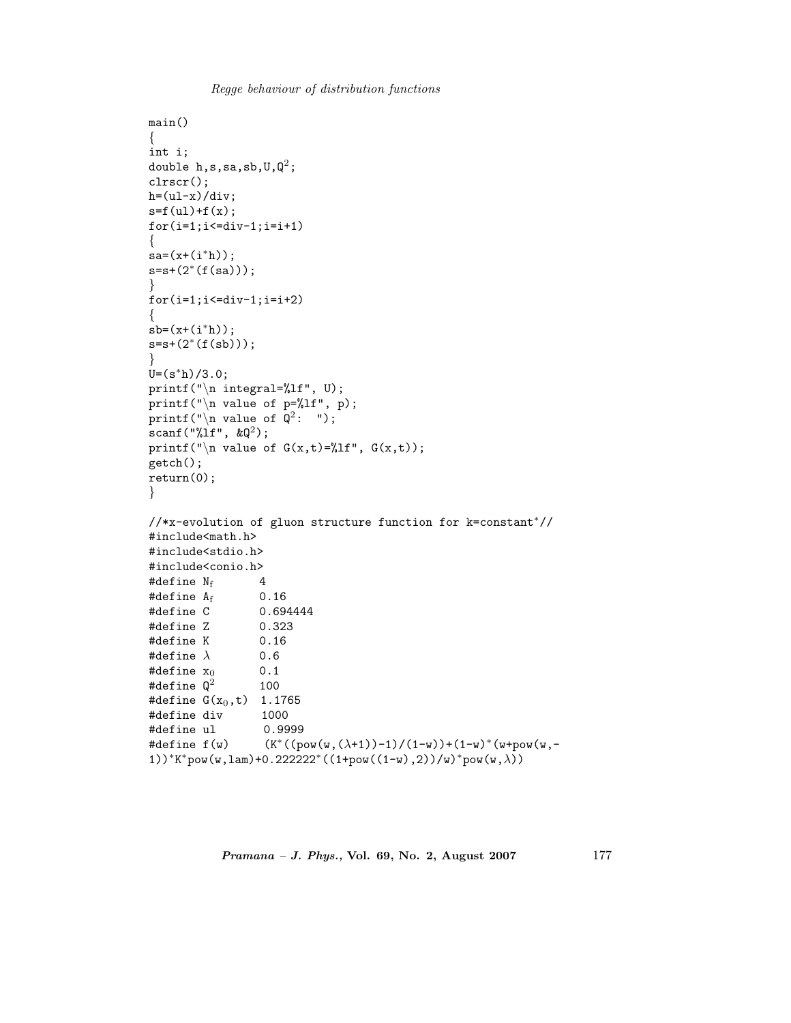```
Regge behaviour of distribution functions
```

```
main()
\{int i;
double h,s,sa,sb,U,Q^2;
clrscr();
h=(ul-x)/div;s = f(ul) + f(x);for(i=1;i<=div-1;i=i+1)\{sa=(x+(i^*h));
s=s+(2∗(f(sa)));
}
for(i=1; i \le -div-1; i = i+2){
sb=(x+(i*h));s=s+(2*(f(s_0)));
}
U=(s^*h)/3.0;printf("\in integral=%lf", U);
printf("\n value of p=%lf", p);
printf("\n value of Q^2: ");
scanf("%lf", \&\mathbb{Q}^2);
printf("\n value of G(x,t)=\int_0^t f(x,t)dt", G(x,t));
getch();
return(0);
}
//*x-evolution of gluon structure function for k=constant∗//
#include<math.h>
#include<stdio.h>
#include<conio.h>
#define N_f 4<br>#define A_f 0.16
#define A_f<br>#define C
                 0.694444
#define Z 0.323
#define K 0.16
#define \lambda 0.6
#define x_0 0.1<br>#define Q^2 100
#define \mathsf{Q}^2#define G(x_0,t) 1.1765<br>#define div 1000
#define div
#define ul 0.9999<br>#define f(w) (K^*(p))(K^*((pow(w,(\lambda+1))-1)/(1-w))+(1-w)*(w+pow(w,-1))*K*pow(w,lam)+0.222222*((1+pow((1-w),2))/w)*pow(w,\lambda))
```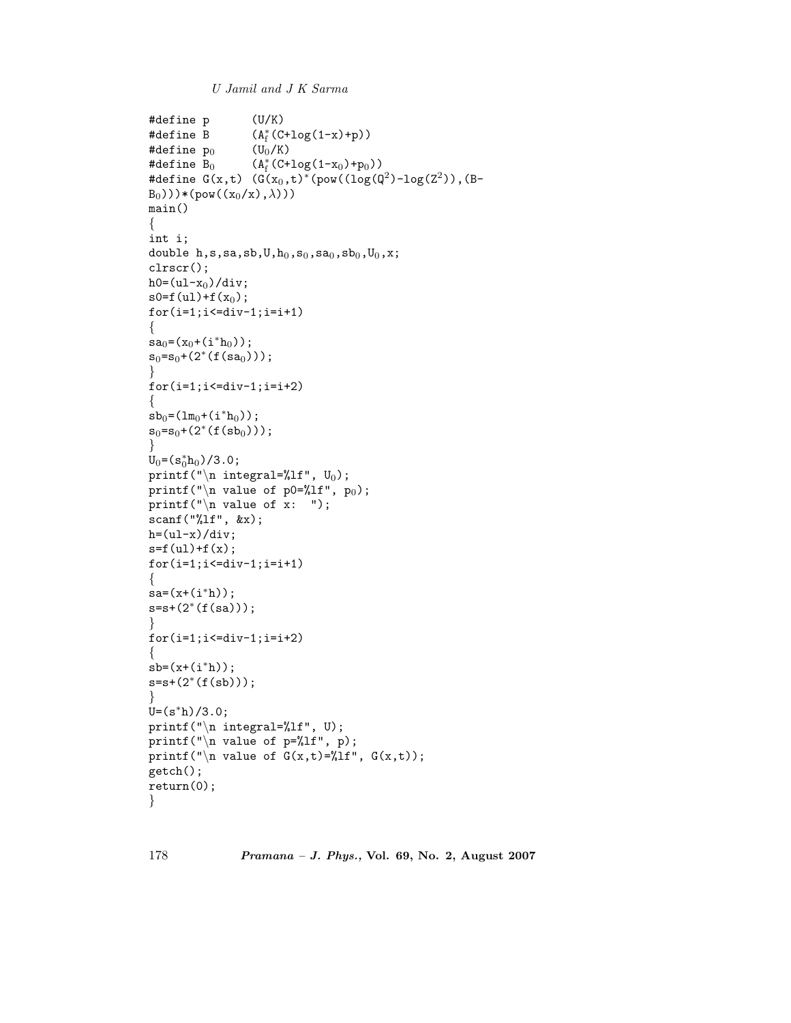```
U Jamil and J K Sarma
```

```
#define p (U/K)
#define B
                   (A_f^*(C+log(1-x)+p))<br>(U<sub>0</sub>/K)
#define p_0#define B_0(A_f^*(C+log(1-x_0)+p_0))#define G(x,t) (G(x_0,t)^*(pow((log(Q^2)-log(Z^2))), (B-B_0)))*(pow((x_0/x),\lambda)))
main()
{
int i;
double h,s,sa,sb,U,h_0,s_0,sa_0,sb_0,U_0,x;clrscr();
h0=(u1-x_0)/div;s0=f(ul)+f(x_0);for(i=1; i \le div-1; i = i+1)\left\{ \right\}sa_0=(x_0+(i^*h_0));
s_0 = s_0 + (2^*(f(s_{a_0})));
}
for(i=1; i<=div-1; i=i+2){
sb_0=(lm_0+(i*h_0));s_0 = s_0 + (2*(f(s_{0})));
}
U_0 = (s_0^* h_0) / 3.0;<br>printf("\n_int
printf("\n integral=%lf", U_0);
printf("\nabla value of p0=%lf", p<sub>0</sub>);
printf("\langle n \rangle value of x: ");
scanf("%lf", &x);
h=(ul-x)/div;s = f(ul) + f(x);for(i=1; i \le div-1; i = i+1){
sa=(x+(i*h));s=s+(2*(f(sa)));
}
for(i=1; i \le -div-1; i = i+2){
sb=(x+(i^*h));
s=s+(2*(f(s_0))));
}
U=(s^*h)/3.0;printf("\in integral=%lf", U);
printf("\n\ranglen value of p=%lf", p);
printf("\n value of G(x,t)=\frac{\ell}{t}]f", G(x,t);
getch();
return(0);
}
```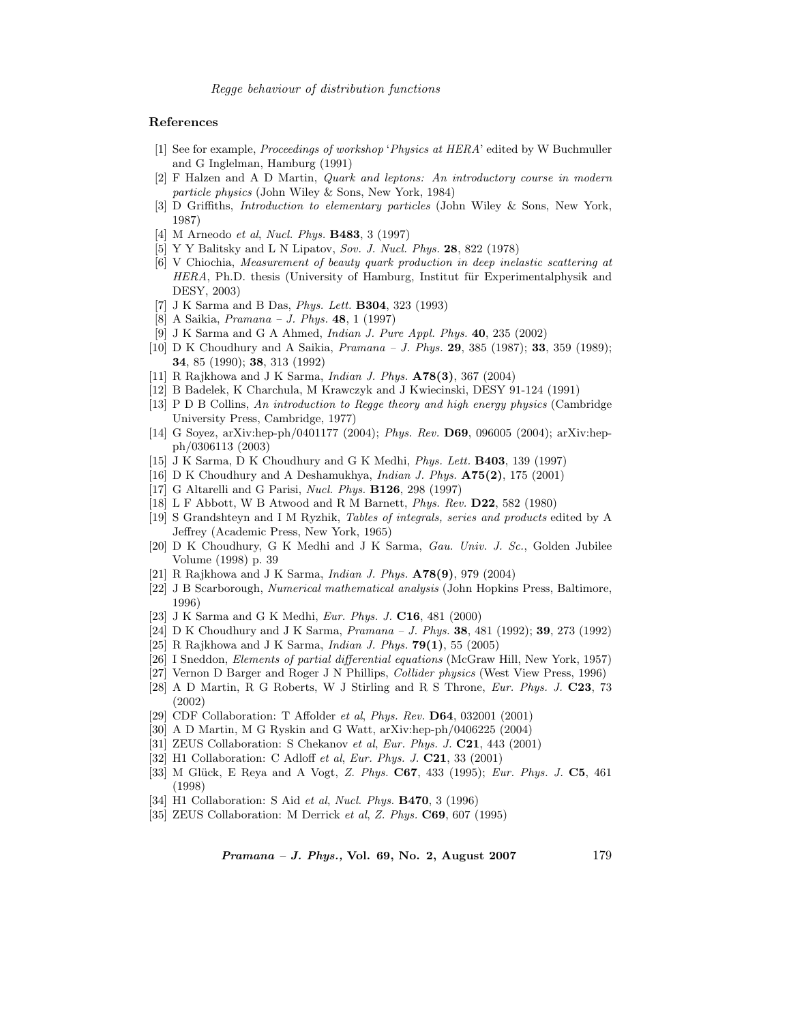*Regge behaviour of distribution functions*

#### **References**

- [1] See for example, Proceedings of workshop 'Physics at HERA' edited by W Buchmuller and G Inglelman, Hamburg (1991)
- [2] F Halzen and A D Martin, Quark and leptons: An introductory course in modern particle physics (John Wiley & Sons, New York, 1984)
- [3] D Griffiths, Introduction to elementary particles (John Wiley & Sons, New York, 1987)
- [4] M Arneodo et al, Nucl. Phys. **B483**, 3 (1997)
- [5] Y Y Balitsky and L N Lipatov, Sov. J. Nucl. Phys. **28**, 822 (1978)
- [6] V Chiochia, Measurement of beauty quark production in deep inelastic scattering at HERA, Ph.D. thesis (University of Hamburg, Institut für Experimentalphysik and DESY, 2003)
- [7] J K Sarma and B Das, Phys. Lett. **B304**, 323 (1993)
- [8] A Saikia, Pramana J. Phys. **48**, 1 (1997)
- [9] J K Sarma and G A Ahmed, Indian J. Pure Appl. Phys. **40**, 235 (2002)
- [10] D K Choudhury and A Saikia, Pramana J. Phys. **29**, 385 (1987); **33**, 359 (1989); **34**, 85 (1990); **38**, 313 (1992)
- [11] R Rajkhowa and J K Sarma, Indian J. Phys. **A78(3)**, 367 (2004)
- [12] B Badelek, K Charchula, M Krawczyk and J Kwiecinski, DESY 91-124 (1991)
- [13] P D B Collins, An introduction to Regge theory and high energy physics (Cambridge University Press, Cambridge, 1977)
- [14] G Soyez, arXiv:hep-ph/0401177 (2004); Phys. Rev. **D69**, 096005 (2004); arXiv:hepph/0306113 (2003)
- [15] J K Sarma, D K Choudhury and G K Medhi, Phys. Lett. **B403**, 139 (1997)
- [16] D K Choudhury and A Deshamukhya, Indian J. Phys. **A75(2)**, 175 (2001)
- [17] G Altarelli and G Parisi, Nucl. Phys. **B126**, 298 (1997)
- [18] L F Abbott, W B Atwood and R M Barnett, Phys. Rev. **D22**, 582 (1980)
- [19] S Grandshteyn and I M Ryzhik, Tables of integrals, series and products edited by A Jeffrey (Academic Press, New York, 1965)
- [20] D K Choudhury, G K Medhi and J K Sarma, Gau. Univ. J. Sc., Golden Jubilee Volume (1998) p. 39
- [21] R Rajkhowa and J K Sarma, Indian J. Phys. **A78(9)**, 979 (2004)
- [22] J B Scarborough, Numerical mathematical analysis (John Hopkins Press, Baltimore, 1996)
- [23] J K Sarma and G K Medhi, Eur. Phys. J. **C16**, 481 (2000)
- [24] D K Choudhury and J K Sarma, Pramana J. Phys. **38**, 481 (1992); **39**, 273 (1992)
- [25] R Rajkhowa and J K Sarma, Indian J. Phys. **79(1)**, 55 (2005)
- [26] I Sneddon, Elements of partial differential equations (McGraw Hill, New York, 1957)
- [27] Vernon D Barger and Roger J N Phillips, Collider physics (West View Press, 1996)
- [28] A D Martin, R G Roberts, W J Stirling and R S Throne, Eur. Phys. J. **C23**, 73 (2002)
- [29] CDF Collaboration: T Affolder et al, Phys. Rev. **D64**, 032001 (2001)
- [30] A D Martin, M G Ryskin and G Watt, arXiv:hep-ph/0406225 (2004)
- [31] ZEUS Collaboration: S Chekanov et al, Eur. Phys. J. **C21**, 443 (2001)
- [32] H1 Collaboration: C Adloff et al, Eur. Phys. J. **C21**, 33 (2001)
- [33] M Glück, E Reya and A Vogt, Z. Phys. **C67**, 433 (1995); Eur. Phys. J. **C5**, 461 (1998)
- [34] H1 Collaboration: S Aid et al, Nucl. Phys. **B470**, 3 (1996)
- [35] ZEUS Collaboration: M Derrick et al, Z. Phys. **C69**, 607 (1995)